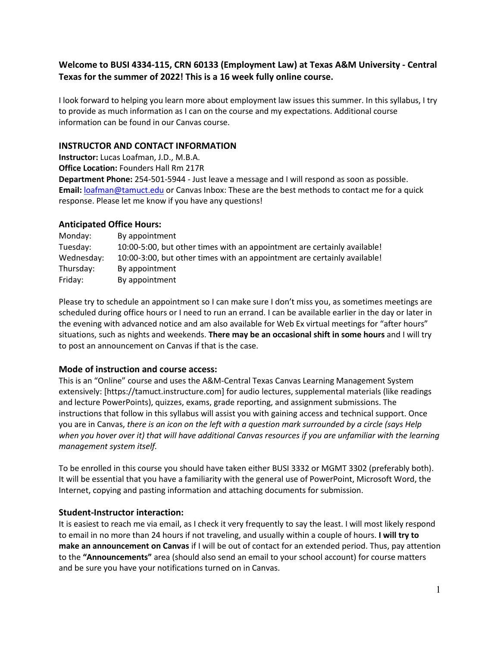## **Welcome to BUSI 4334-115, CRN 60133 (Employment Law) at Texas A&M University - Central Texas for the summer of 2022! This is a 16 week fully online course.**

I look forward to helping you learn more about employment law issues this summer. In this syllabus, I try to provide as much information as I can on the course and my expectations. Additional course information can be found in our Canvas course.

#### **INSTRUCTOR AND CONTACT INFORMATION**

**Instructor:** Lucas Loafman, J.D., M.B.A.

**Office Location:** Founders Hall Rm 217R

**Department Phone:** 254-501-5944 - Just leave a message and I will respond as soon as possible. **Email:** [loafman@tamuct.edu](mailto:loafman@tamuct.edu) or Canvas Inbox: These are the best methods to contact me for a quick response. Please let me know if you have any questions!

#### **Anticipated Office Hours:**

| Monday:    | By appointment                                                           |
|------------|--------------------------------------------------------------------------|
| Tuesday:   | 10:00-5:00, but other times with an appointment are certainly available! |
| Wednesday: | 10:00-3:00, but other times with an appointment are certainly available! |
| Thursday:  | By appointment                                                           |
| Friday:    | By appointment                                                           |

Please try to schedule an appointment so I can make sure I don't miss you, as sometimes meetings are scheduled during office hours or I need to run an errand. I can be available earlier in the day or later in the evening with advanced notice and am also available for Web Ex virtual meetings for "after hours" situations, such as nights and weekends. **There may be an occasional shift in some hours** and I will try to post an announcement on Canvas if that is the case.

## **Mode of instruction and course access:**

This is an "Online" course and uses the A&M-Central Texas Canvas Learning Management System extensively: [https://tamuct.instructure.com] for audio lectures, supplemental materials (like readings and lecture PowerPoints), quizzes, exams, grade reporting, and assignment submissions. The instructions that follow in this syllabus will assist you with gaining access and technical support. Once you are in Canvas, *there is an icon on the left with a question mark surrounded by a circle (says Help when you hover over it) that will have additional Canvas resources if you are unfamiliar with the learning management system itself.*

To be enrolled in this course you should have taken either BUSI 3332 or MGMT 3302 (preferably both). It will be essential that you have a familiarity with the general use of PowerPoint, Microsoft Word, the Internet, copying and pasting information and attaching documents for submission.

## **Student-Instructor interaction:**

It is easiest to reach me via email, as I check it very frequently to say the least. I will most likely respond to email in no more than 24 hours if not traveling, and usually within a couple of hours. **I will try to make an announcement on Canvas** if I will be out of contact for an extended period. Thus, pay attention to the **"Announcements"** area (should also send an email to your school account) for course matters and be sure you have your notifications turned on in Canvas.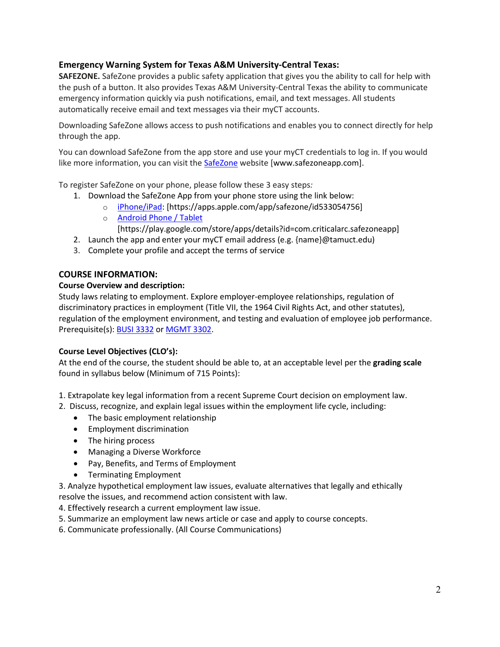## **Emergency Warning System for Texas A&M University-Central Texas:**

**SAFEZONE.** SafeZone provides a public safety application that gives you the ability to call for help with the push of a button. It also provides Texas A&M University-Central Texas the ability to communicate emergency information quickly via push notifications, email, and text messages. All students automatically receive email and text messages via their myCT accounts.

Downloading SafeZone allows access to push notifications and enables you to connect directly for help through the app.

You can download SafeZone from the app store and use your myCT credentials to log in. If you would like more information, you can visit the [SafeZone](http://www.safezoneapp.com/) website [www.safezoneapp.com].

To register SafeZone on your phone, please follow these 3 easy steps*:*

- 1. Download the SafeZone App from your phone store using the link below:
	- o [iPhone/iPad:](https://apps.apple.com/app/safezone/id533054756) [https://apps.apple.com/app/safezone/id533054756]
		- o [Android Phone / Tablet](https://play.google.com/store/apps/details?id=com.criticalarc.safezoneapp)
		- [https://play.google.com/store/apps/details?id=com.criticalarc.safezoneapp]
- 2. Launch the app and enter your myCT email address (e.g. {name}@tamuct.edu)
- 3. Complete your profile and accept the terms of service

#### **COURSE INFORMATION:**

#### **Course Overview and description:**

Study laws relating to employment. Explore employer-employee relationships, regulation of discriminatory practices in employment (Title VII, the 1964 Civil Rights Act, and other statutes), regulation of the employment environment, and testing and evaluation of employee job performance. Prerequisite(s): **BUSI [3332](http://catalog.tamuct.edu/search/?P=BUSI%203332)** or **[MGMT](http://catalog.tamuct.edu/search/?P=MGMT%203302) 3302**.

#### **Course Level Objectives (CLO's):**

At the end of the course, the student should be able to, at an acceptable level per the **grading scale**  found in syllabus below (Minimum of 715 Points):

- 1. Extrapolate key legal information from a recent Supreme Court decision on employment law.
- 2. Discuss, recognize, and explain legal issues within the employment life cycle, including:
	- The basic employment relationship
	- Employment discrimination
	- The hiring process
	- Managing a Diverse Workforce
	- Pay, Benefits, and Terms of Employment
	- Terminating Employment

3. Analyze hypothetical employment law issues, evaluate alternatives that legally and ethically resolve the issues, and recommend action consistent with law.

- 4. Effectively research a current employment law issue.
- 5. Summarize an employment law news article or case and apply to course concepts.
- 6. Communicate professionally. (All Course Communications)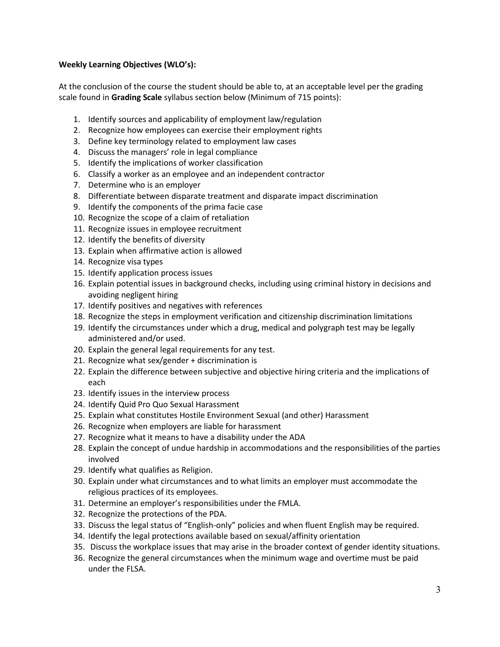#### **Weekly Learning Objectives (WLO's):**

At the conclusion of the course the student should be able to, at an acceptable level per the grading scale found in **Grading Scale** syllabus section below (Minimum of 715 points):

- 1. Identify sources and applicability of employment law/regulation
- 2. Recognize how employees can exercise their employment rights
- 3. Define key terminology related to employment law cases
- 4. Discuss the managers' role in legal compliance
- 5. Identify the implications of worker classification
- 6. Classify a worker as an employee and an independent contractor
- 7. Determine who is an employer
- 8. Differentiate between disparate treatment and disparate impact discrimination
- 9. Identify the components of the prima facie case
- 10. Recognize the scope of a claim of retaliation
- 11. Recognize issues in employee recruitment
- 12. Identify the benefits of diversity
- 13. Explain when affirmative action is allowed
- 14. Recognize visa types
- 15. Identify application process issues
- 16. Explain potential issues in background checks, including using criminal history in decisions and avoiding negligent hiring
- 17. Identify positives and negatives with references
- 18. Recognize the steps in employment verification and citizenship discrimination limitations
- 19. Identify the circumstances under which a drug, medical and polygraph test may be legally administered and/or used.
- 20. Explain the general legal requirements for any test.
- 21. Recognize what sex/gender + discrimination is
- 22. Explain the difference between subjective and objective hiring criteria and the implications of each
- 23. Identify issues in the interview process
- 24. Identify Quid Pro Quo Sexual Harassment
- 25. Explain what constitutes Hostile Environment Sexual (and other) Harassment
- 26. Recognize when employers are liable for harassment
- 27. Recognize what it means to have a disability under the ADA
- 28. Explain the concept of undue hardship in accommodations and the responsibilities of the parties involved
- 29. Identify what qualifies as Religion.
- 30. Explain under what circumstances and to what limits an employer must accommodate the religious practices of its employees.
- 31. Determine an employer's responsibilities under the FMLA.
- 32. Recognize the protections of the PDA.
- 33. Discuss the legal status of "English-only" policies and when fluent English may be required.
- 34. Identify the legal protections available based on sexual/affinity orientation
- 35. Discuss the workplace issues that may arise in the broader context of gender identity situations.
- 36. Recognize the general circumstances when the minimum wage and overtime must be paid under the FLSA.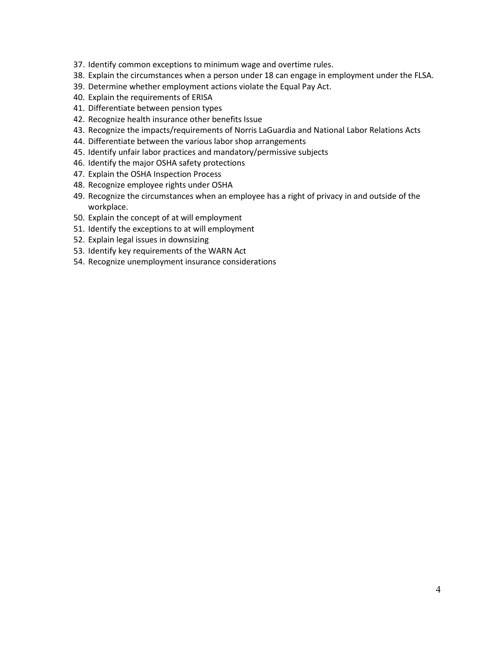- 37. Identify common exceptions to minimum wage and overtime rules.
- 38. Explain the circumstances when a person under 18 can engage in employment under the FLSA.
- 39. Determine whether employment actions violate the Equal Pay Act.
- 40. Explain the requirements of ERISA
- 41. Differentiate between pension types
- 42. Recognize health insurance other benefits Issue
- 43. Recognize the impacts/requirements of Norris LaGuardia and National Labor Relations Acts
- 44. Differentiate between the various labor shop arrangements
- 45. Identify unfair labor practices and mandatory/permissive subjects
- 46. Identify the major OSHA safety protections
- 47. Explain the OSHA Inspection Process
- 48. Recognize employee rights under OSHA
- 49. Recognize the circumstances when an employee has a right of privacy in and outside of the workplace.
- 50. Explain the concept of at will employment
- 51. Identify the exceptions to at will employment
- 52. Explain legal issues in downsizing
- 53. Identify key requirements of the WARN Act
- 54. Recognize unemployment insurance considerations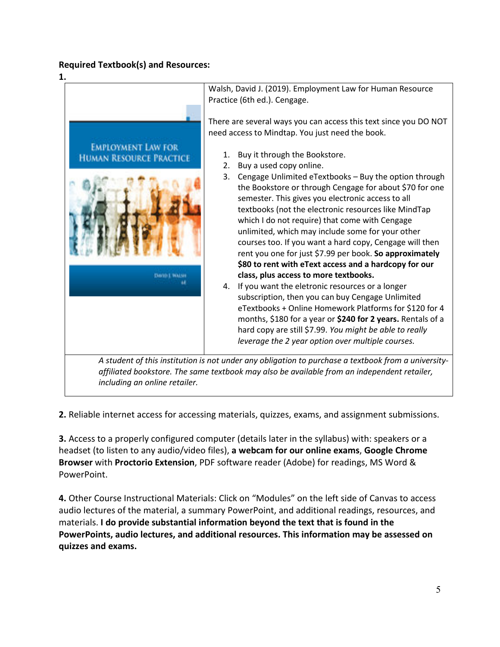## **Required Textbook(s) and Resources:**



**2.** Reliable internet access for accessing materials, quizzes, exams, and assignment submissions.

**3.** Access to a properly configured computer (details later in the syllabus) with: speakers or a headset (to listen to any audio/video files), **a webcam for our online exams**, **Google Chrome Browser** with **Proctorio Extension**, PDF software reader (Adobe) for readings, MS Word & PowerPoint.

**4.** Other Course Instructional Materials: Click on "Modules" on the left side of Canvas to access audio lectures of the material, a summary PowerPoint, and additional readings, resources, and materials. **I do provide substantial information beyond the text that is found in the PowerPoints, audio lectures, and additional resources. This information may be assessed on quizzes and exams.**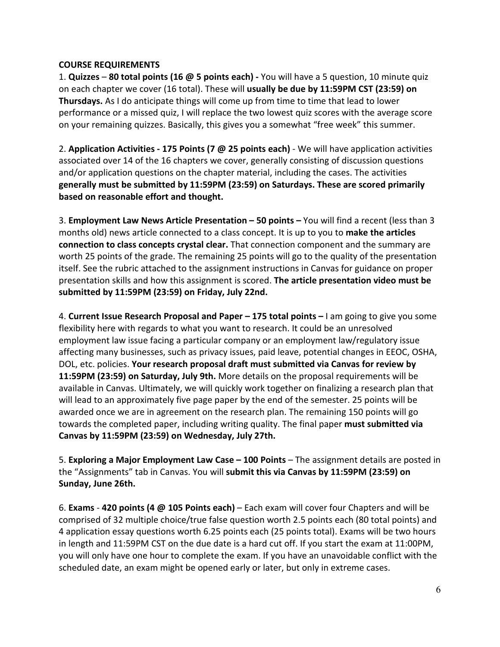## **COURSE REQUIREMENTS**

1. **Quizzes** – **80 total points (16 @ 5 points each) -** You will have a 5 question, 10 minute quiz on each chapter we cover (16 total). These will **usually be due by 11:59PM CST (23:59) on Thursdays.** As I do anticipate things will come up from time to time that lead to lower performance or a missed quiz, I will replace the two lowest quiz scores with the average score on your remaining quizzes. Basically, this gives you a somewhat "free week" this summer.

2. **Application Activities - 175 Points (7 @ 25 points each)** - We will have application activities associated over 14 of the 16 chapters we cover, generally consisting of discussion questions and/or application questions on the chapter material, including the cases. The activities **generally must be submitted by 11:59PM (23:59) on Saturdays. These are scored primarily based on reasonable effort and thought.**

3. **Employment Law News Article Presentation – 50 points –** You will find a recent (less than 3 months old) news article connected to a class concept. It is up to you to **make the articles connection to class concepts crystal clear.** That connection component and the summary are worth 25 points of the grade. The remaining 25 points will go to the quality of the presentation itself. See the rubric attached to the assignment instructions in Canvas for guidance on proper presentation skills and how this assignment is scored. **The article presentation video must be submitted by 11:59PM (23:59) on Friday, July 22nd.**

4. **Current Issue Research Proposal and Paper – 175 total points –** I am going to give you some flexibility here with regards to what you want to research. It could be an unresolved employment law issue facing a particular company or an employment law/regulatory issue affecting many businesses, such as privacy issues, paid leave, potential changes in EEOC, OSHA, DOL, etc. policies. **Your research proposal draft must submitted via Canvas for review by 11:59PM (23:59) on Saturday, July 9th.** More details on the proposal requirements will be available in Canvas. Ultimately, we will quickly work together on finalizing a research plan that will lead to an approximately five page paper by the end of the semester. 25 points will be awarded once we are in agreement on the research plan. The remaining 150 points will go towards the completed paper, including writing quality. The final paper **must submitted via Canvas by 11:59PM (23:59) on Wednesday, July 27th.**

5. **Exploring a Major Employment Law Case – 100 Points** – The assignment details are posted in the "Assignments" tab in Canvas. You will **submit this via Canvas by 11:59PM (23:59) on Sunday, June 26th.**

6. **Exams** - **420 points (4 @ 105 Points each)** – Each exam will cover four Chapters and will be comprised of 32 multiple choice/true false question worth 2.5 points each (80 total points) and 4 application essay questions worth 6.25 points each (25 points total). Exams will be two hours in length and 11:59PM CST on the due date is a hard cut off. If you start the exam at 11:00PM, you will only have one hour to complete the exam. If you have an unavoidable conflict with the scheduled date, an exam might be opened early or later, but only in extreme cases.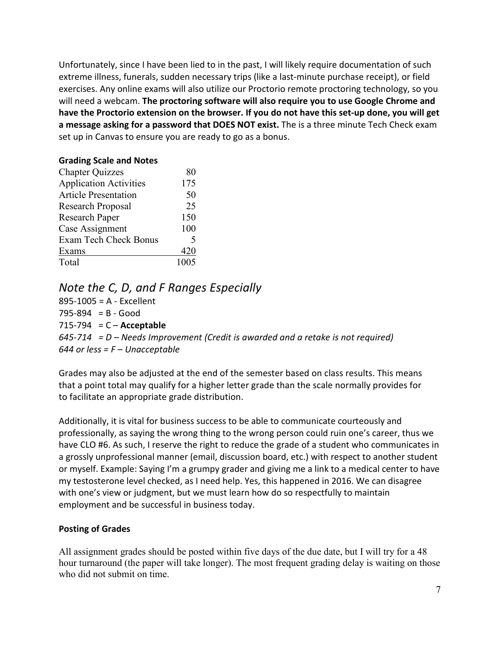Unfortunately, since I have been lied to in the past, I will likely require documentation of such extreme illness, funerals, sudden necessary trips (like a last-minute purchase receipt), or field exercises. Any online exams will also utilize our Proctorio remote proctoring technology, so you will need a webcam. **The proctoring software will also require you to use Google Chrome and have the Proctorio extension on the browser. If you do not have this set-up done, you will get a message asking for a password that DOES NOT exist.** The is a three minute Tech Check exam set up in Canvas to ensure you are ready to go as a bonus.

# **Grading Scale and Notes**

| <b>Chapter Quizzes</b>        | 80                       |
|-------------------------------|--------------------------|
| <b>Application Activities</b> | 175                      |
| <b>Article Presentation</b>   | 50                       |
| Research Proposal             | 25                       |
| Research Paper                | 150                      |
| Case Assignment               | 100                      |
| <b>Exam Tech Check Bonus</b>  | $\overline{\mathcal{L}}$ |
| Exams                         | 420                      |
| Total                         | 1005                     |

# *Note the C, D, and F Ranges Especially*

895-1005 = A - Excellent  $795-894 = B - Good$ 715-794 = C – **Acceptable** *645-714 = D – Needs Improvement (Credit is awarded and a retake is not required) 644 or less = F – Unacceptable* 

Grades may also be adjusted at the end of the semester based on class results. This means that a point total may qualify for a higher letter grade than the scale normally provides for to facilitate an appropriate grade distribution.

Additionally, it is vital for business success to be able to communicate courteously and professionally, as saying the wrong thing to the wrong person could ruin one's career, thus we have CLO #6. As such, I reserve the right to reduce the grade of a student who communicates in a grossly unprofessional manner (email, discussion board, etc.) with respect to another student or myself. Example: Saying I'm a grumpy grader and giving me a link to a medical center to have my testosterone level checked, as I need help. Yes, this happened in 2016. We can disagree with one's view or judgment, but we must learn how do so respectfully to maintain employment and be successful in business today.

## **Posting of Grades**

All assignment grades should be posted within five days of the due date, but I will try for a 48 hour turnaround (the paper will take longer). The most frequent grading delay is waiting on those who did not submit on time.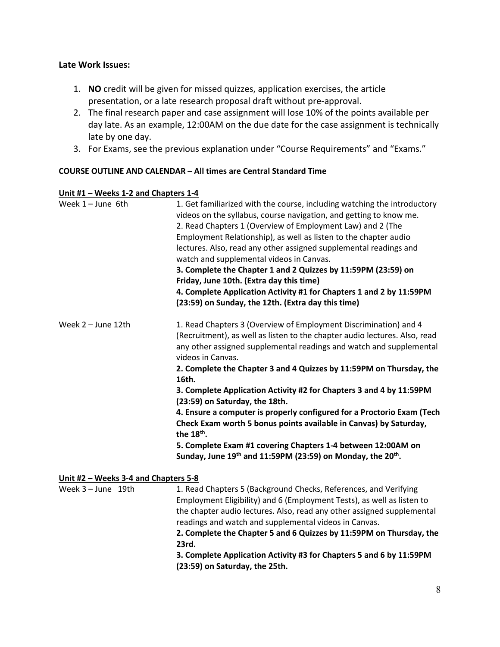## **Late Work Issues:**

- 1. **NO** credit will be given for missed quizzes, application exercises, the article presentation, or a late research proposal draft without pre-approval.
- 2. The final research paper and case assignment will lose 10% of the points available per day late. As an example, 12:00AM on the due date for the case assignment is technically late by one day.
- 3. For Exams, see the previous explanation under "Course Requirements" and "Exams."

## **COURSE OUTLINE AND CALENDAR – All times are Central Standard Time**

#### **Unit #1 – Weeks 1-2 and Chapters 1-4**

| Week $1 -$ June 6th                  | 1. Get familiarized with the course, including watching the introductory<br>videos on the syllabus, course navigation, and getting to know me.<br>2. Read Chapters 1 (Overview of Employment Law) and 2 (The<br>Employment Relationship), as well as listen to the chapter audio<br>lectures. Also, read any other assigned supplemental readings and<br>watch and supplemental videos in Canvas.<br>3. Complete the Chapter 1 and 2 Quizzes by 11:59PM (23:59) on<br>Friday, June 10th. (Extra day this time)<br>4. Complete Application Activity #1 for Chapters 1 and 2 by 11:59PM<br>(23:59) on Sunday, the 12th. (Extra day this time) |
|--------------------------------------|---------------------------------------------------------------------------------------------------------------------------------------------------------------------------------------------------------------------------------------------------------------------------------------------------------------------------------------------------------------------------------------------------------------------------------------------------------------------------------------------------------------------------------------------------------------------------------------------------------------------------------------------|
| Week 2 - June 12th                   | 1. Read Chapters 3 (Overview of Employment Discrimination) and 4<br>(Recruitment), as well as listen to the chapter audio lectures. Also, read<br>any other assigned supplemental readings and watch and supplemental<br>videos in Canvas.                                                                                                                                                                                                                                                                                                                                                                                                  |
|                                      | 2. Complete the Chapter 3 and 4 Quizzes by 11:59PM on Thursday, the<br>16th.                                                                                                                                                                                                                                                                                                                                                                                                                                                                                                                                                                |
|                                      | 3. Complete Application Activity #2 for Chapters 3 and 4 by 11:59PM<br>(23:59) on Saturday, the 18th.                                                                                                                                                                                                                                                                                                                                                                                                                                                                                                                                       |
|                                      | 4. Ensure a computer is properly configured for a Proctorio Exam (Tech<br>Check Exam worth 5 bonus points available in Canvas) by Saturday,<br>the 18 <sup>th</sup> .                                                                                                                                                                                                                                                                                                                                                                                                                                                                       |
|                                      | 5. Complete Exam #1 covering Chapters 1-4 between 12:00AM on<br>Sunday, June 19th and 11:59PM (23:59) on Monday, the 20th.                                                                                                                                                                                                                                                                                                                                                                                                                                                                                                                  |
| Unit #2 - Weeks 3-4 and Chapters 5-8 |                                                                                                                                                                                                                                                                                                                                                                                                                                                                                                                                                                                                                                             |
| Week 3 - June 19th                   | 1. Read Chapters 5 (Background Checks, References, and Verifying<br>Employment Eligibility) and 6 (Employment Tests), as well as listen to<br>the chapter audio lectures. Also, read any other assigned supplemental<br>readings and watch and supplemental videos in Canvas.<br>2. Complete the Chapter 5 and 6 Quizzes by 11:59PM on Thursday, the<br>23rd.                                                                                                                                                                                                                                                                               |
|                                      | 3. Complete Application Activity #3 for Chapters 5 and 6 by 11:59PM<br>(23:59) on Saturday, the 25th.                                                                                                                                                                                                                                                                                                                                                                                                                                                                                                                                       |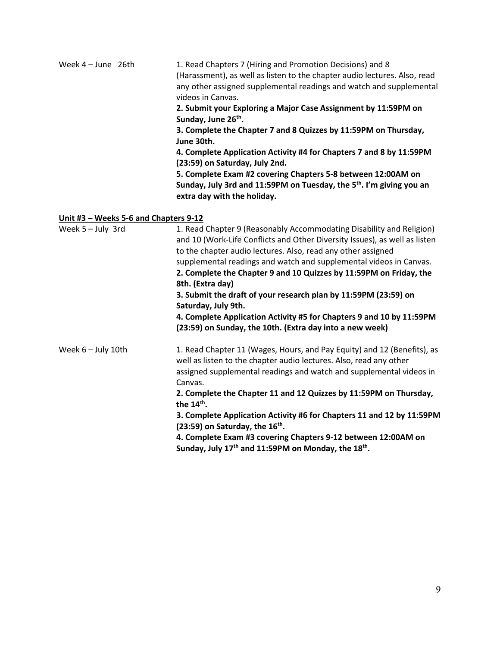| Week 4 - June 26th                    | 1. Read Chapters 7 (Hiring and Promotion Decisions) and 8<br>(Harassment), as well as listen to the chapter audio lectures. Also, read<br>any other assigned supplemental readings and watch and supplemental<br>videos in Canvas.<br>2. Submit your Exploring a Major Case Assignment by 11:59PM on<br>Sunday, June 26 <sup>th</sup> .<br>3. Complete the Chapter 7 and 8 Quizzes by 11:59PM on Thursday,<br>June 30th.<br>4. Complete Application Activity #4 for Chapters 7 and 8 by 11:59PM<br>(23:59) on Saturday, July 2nd.<br>5. Complete Exam #2 covering Chapters 5-8 between 12:00AM on<br>Sunday, July 3rd and 11:59PM on Tuesday, the 5 <sup>th</sup> . I'm giving you an<br>extra day with the holiday. |
|---------------------------------------|----------------------------------------------------------------------------------------------------------------------------------------------------------------------------------------------------------------------------------------------------------------------------------------------------------------------------------------------------------------------------------------------------------------------------------------------------------------------------------------------------------------------------------------------------------------------------------------------------------------------------------------------------------------------------------------------------------------------|
| Unit #3 - Weeks 5-6 and Chapters 9-12 |                                                                                                                                                                                                                                                                                                                                                                                                                                                                                                                                                                                                                                                                                                                      |
| Week 5 - July 3rd                     | 1. Read Chapter 9 (Reasonably Accommodating Disability and Religion)<br>and 10 (Work-Life Conflicts and Other Diversity Issues), as well as listen<br>to the chapter audio lectures. Also, read any other assigned<br>supplemental readings and watch and supplemental videos in Canvas.<br>2. Complete the Chapter 9 and 10 Quizzes by 11:59PM on Friday, the<br>8th. (Extra day)<br>3. Submit the draft of your research plan by 11:59PM (23:59) on<br>Saturday, July 9th.<br>4. Complete Application Activity #5 for Chapters 9 and 10 by 11:59PM<br>(23:59) on Sunday, the 10th. (Extra day into a new week)                                                                                                     |
| Week 6 - July 10th                    | 1. Read Chapter 11 (Wages, Hours, and Pay Equity) and 12 (Benefits), as<br>well as listen to the chapter audio lectures. Also, read any other<br>assigned supplemental readings and watch and supplemental videos in<br>Canvas.<br>2. Complete the Chapter 11 and 12 Quizzes by 11:59PM on Thursday,<br>the 14 <sup>th</sup> .<br>3. Complete Application Activity #6 for Chapters 11 and 12 by 11:59PM<br>(23:59) on Saturday, the 16 <sup>th</sup> .<br>4. Complete Exam #3 covering Chapters 9-12 between 12:00AM on<br>Sunday, July 17 <sup>th</sup> and 11:59PM on Monday, the 18 <sup>th</sup> .                                                                                                               |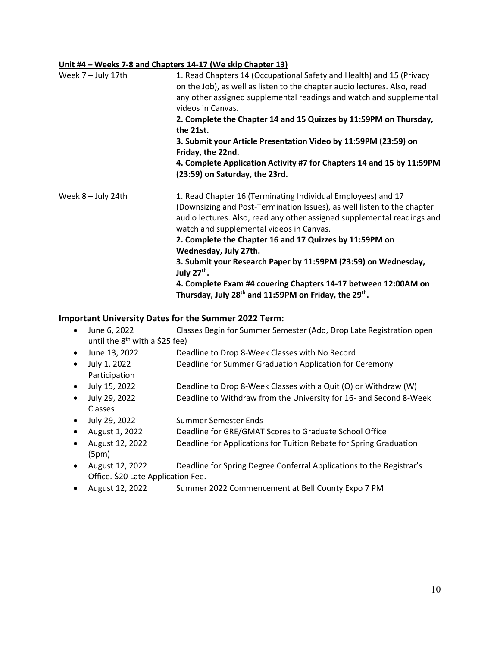#### **Unit #4 – Weeks 7-8 and Chapters 14-17 (We skip Chapter 13)**

| Week 7 - July 17th   | 1. Read Chapters 14 (Occupational Safety and Health) and 15 (Privacy<br>on the Job), as well as listen to the chapter audio lectures. Also, read<br>any other assigned supplemental readings and watch and supplemental<br>videos in Canvas.<br>2. Complete the Chapter 14 and 15 Quizzes by 11:59PM on Thursday,<br>the 21st.<br>3. Submit your Article Presentation Video by 11:59PM (23:59) on<br>Friday, the 22nd.<br>4. Complete Application Activity #7 for Chapters 14 and 15 by 11:59PM<br>(23:59) on Saturday, the 23rd.                                                        |
|----------------------|------------------------------------------------------------------------------------------------------------------------------------------------------------------------------------------------------------------------------------------------------------------------------------------------------------------------------------------------------------------------------------------------------------------------------------------------------------------------------------------------------------------------------------------------------------------------------------------|
| Week $8 -$ July 24th | 1. Read Chapter 16 (Terminating Individual Employees) and 17<br>(Downsizing and Post-Termination Issues), as well listen to the chapter<br>audio lectures. Also, read any other assigned supplemental readings and<br>watch and supplemental videos in Canvas.<br>2. Complete the Chapter 16 and 17 Quizzes by 11:59PM on<br>Wednesday, July 27th.<br>3. Submit your Research Paper by 11:59PM (23:59) on Wednesday,<br>July $27th$ .<br>4. Complete Exam #4 covering Chapters 14-17 between 12:00AM on<br>Thursday, July 28 <sup>th</sup> and 11:59PM on Friday, the 29 <sup>th</sup> . |

#### **Important University Dates for the Summer 2022 Term:**

- June 6, 2022 Classes Begin for Summer Semester (Add, Drop Late Registration open until the  $8<sup>th</sup>$  with a \$25 fee)
- June 13, 2022 Deadline to Drop 8-Week Classes with No Record
- July 1, 2022 Deadline for Summer Graduation Application for Ceremony Participation
- July 15, 2022 Deadline to Drop 8-Week Classes with a Quit (Q) or Withdraw (W)
- July 29, 2022 Deadline to Withdraw from the University for 16- and Second 8-Week Classes
- July 29, 2022 Summer Semester Ends
- August 1, 2022 Deadline for GRE/GMAT Scores to Graduate School Office
- August 12, 2022 Deadline for Applications for Tuition Rebate for Spring Graduation (5pm)
- August 12, 2022 Deadline for Spring Degree Conferral Applications to the Registrar's Office. \$20 Late Application Fee.
- August 12, 2022 Summer 2022 Commencement at Bell County Expo 7 PM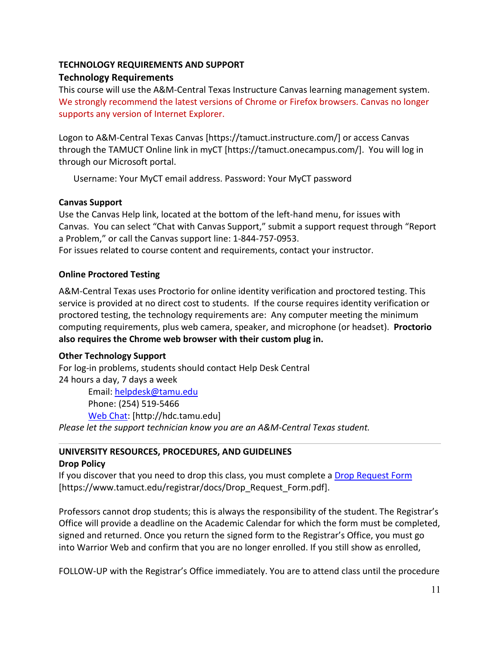# **TECHNOLOGY REQUIREMENTS AND SUPPORT Technology Requirements**

This course will use the A&M-Central Texas Instructure Canvas learning management system. We strongly recommend the latest versions of Chrome or Firefox browsers. Canvas no longer supports any version of Internet Explorer.

Logon to A&M-Central Texas Canvas [https://tamuct.instructure.com/] or access Canvas through the TAMUCT Online link in myCT [https://tamuct.onecampus.com/]. You will log in through our Microsoft portal.

Username: Your MyCT email address. Password: Your MyCT password

## **Canvas Support**

Use the Canvas Help link, located at the bottom of the left-hand menu, for issues with Canvas. You can select "Chat with Canvas Support," submit a support request through "Report a Problem," or call the Canvas support line: 1-844-757-0953.

For issues related to course content and requirements, contact your instructor.

## **Online Proctored Testing**

A&M-Central Texas uses Proctorio for online identity verification and proctored testing. This service is provided at no direct cost to students. If the course requires identity verification or proctored testing, the technology requirements are: Any computer meeting the minimum computing requirements, plus web camera, speaker, and microphone (or headset). **Proctorio also requires the Chrome web browser with their custom plug in.**

## **Other Technology Support**

For log-in problems, students should contact Help Desk Central 24 hours a day, 7 days a week Email: [helpdesk@tamu.edu](mailto:helpdesk@tamu.edu) Phone: (254) 519-5466 [Web Chat:](http://hdc.tamu.edu/) [http://hdc.tamu.edu] *Please let the support technician know you are an A&M-Central Texas student.*

# **UNIVERSITY RESOURCES, PROCEDURES, AND GUIDELINES**

## **Drop Policy**

If you discover that you need to drop this class, you must complete a [Drop Request Form](https://www.tamuct.edu/registrar/docs/Drop_Request_Form.pdf) [https://www.tamuct.edu/registrar/docs/Drop\_Request\_Form.pdf].

Professors cannot drop students; this is always the responsibility of the student. The Registrar's Office will provide a deadline on the Academic Calendar for which the form must be completed, signed and returned. Once you return the signed form to the Registrar's Office, you must go into Warrior Web and confirm that you are no longer enrolled. If you still show as enrolled,

FOLLOW-UP with the Registrar's Office immediately. You are to attend class until the procedure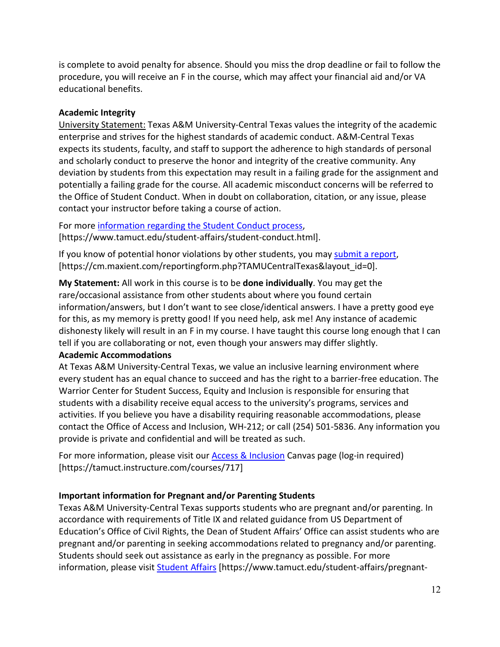is complete to avoid penalty for absence. Should you miss the drop deadline or fail to follow the procedure, you will receive an F in the course, which may affect your financial aid and/or VA educational benefits.

## **Academic Integrity**

University Statement: Texas A&M University-Central Texas values the integrity of the academic enterprise and strives for the highest standards of academic conduct. A&M-Central Texas expects its students, faculty, and staff to support the adherence to high standards of personal and scholarly conduct to preserve the honor and integrity of the creative community. Any deviation by students from this expectation may result in a failing grade for the assignment and potentially a failing grade for the course. All academic misconduct concerns will be referred to the Office of Student Conduct. When in doubt on collaboration, citation, or any issue, please contact your instructor before taking a course of action.

For more [information](https://nam04.safelinks.protection.outlook.com/?url=https%3A%2F%2Fwww.tamuct.edu%2Fstudent-affairs%2Fstudent-conduct.html&data=04%7C01%7Clisa.bunkowski%40tamuct.edu%7Ccfb6e486f24745f53e1a08d910055cb2%7C9eed4e3000f744849ff193ad8005acec%7C0%7C0%7C637558437485252160%7CUnknown%7CTWFpbGZsb3d8eyJWIjoiMC4wLjAwMDAiLCJQIjoiV2luMzIiLCJBTiI6Ik1haWwiLCJXVCI6Mn0%3D%7C1000&sdata=yjftDEVHvLX%2FhM%2FcFU0B99krV1RgEWR%2BJ%2BhvtoR6TYk%3D&reserved=0) regarding the Student Conduct process, [https://www.tamuct.edu/student-affairs/student-conduct.html].

If you know of potential honor violations by other students, you may [submit](https://nam04.safelinks.protection.outlook.com/?url=https%3A%2F%2Fcm.maxient.com%2Freportingform.php%3FTAMUCentralTexas%26layout_id%3D0&data=04%7C01%7Clisa.bunkowski%40tamuct.edu%7Ccfb6e486f24745f53e1a08d910055cb2%7C9eed4e3000f744849ff193ad8005acec%7C0%7C0%7C637558437485262157%7CUnknown%7CTWFpbGZsb3d8eyJWIjoiMC4wLjAwMDAiLCJQIjoiV2luMzIiLCJBTiI6Ik1haWwiLCJXVCI6Mn0%3D%7C1000&sdata=CXGkOa6uPDPX1IMZ87z3aZDq2n91xfHKu4MMS43Ejjk%3D&reserved=0) a report, [https://cm.maxient.com/reportingform.php?TAMUCentralTexas&layout\_id=0].

**My Statement:** All work in this course is to be **done individually**. You may get the rare/occasional assistance from other students about where you found certain information/answers, but I don't want to see close/identical answers. I have a pretty good eye for this, as my memory is pretty good! If you need help, ask me! Any instance of academic dishonesty likely will result in an F in my course. I have taught this course long enough that I can tell if you are collaborating or not, even though your answers may differ slightly.

## **Academic Accommodations**

At Texas A&M University-Central Texas, we value an inclusive learning environment where every student has an equal chance to succeed and has the right to a barrier-free education. The Warrior Center for Student Success, Equity and Inclusion is responsible for ensuring that students with a disability receive equal access to the university's programs, services and activities. If you believe you have a disability requiring reasonable accommodations, please contact the Office of Access and Inclusion, WH-212; or call (254) 501-5836. Any information you provide is private and confidential and will be treated as such.

For more information, please visit our **Access & Inclusion** Canvas page (log-in required) [https://tamuct.instructure.com/courses/717]

# **Important information for Pregnant and/or Parenting Students**

Texas A&M University-Central Texas supports students who are pregnant and/or parenting. In accordance with requirements of Title IX and related guidance from US Department of Education's Office of Civil Rights, the Dean of Student Affairs' Office can assist students who are pregnant and/or parenting in seeking accommodations related to pregnancy and/or parenting. Students should seek out assistance as early in the pregnancy as possible. For more information, please visit [Student Affairs](https://www.tamuct.edu/student-affairs/pregnant-and-parenting-students.html) [https://www.tamuct.edu/student-affairs/pregnant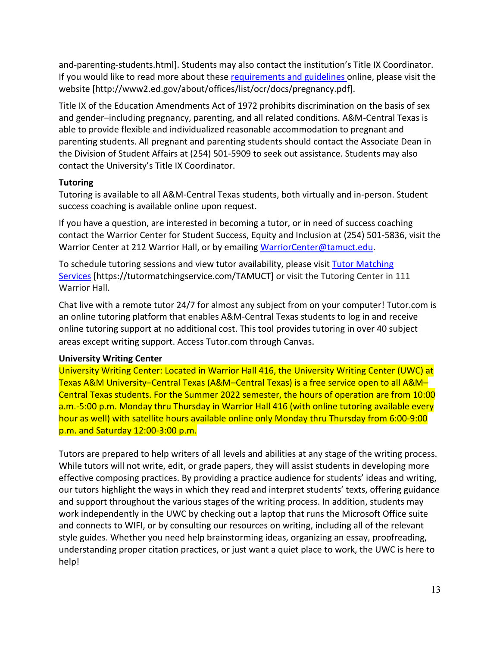and-parenting-students.html]. Students may also contact the institution's Title IX Coordinator. If you would like to read more about thes[e requirements and guidelines](http://www2.ed.gov/about/offices/list/ocr/docs/pregnancy.pdf) online, please visit the website [http://www2.ed.gov/about/offices/list/ocr/docs/pregnancy.pdf].

Title IX of the Education Amendments Act of 1972 prohibits discrimination on the basis of sex and gender–including pregnancy, parenting, and all related conditions. A&M-Central Texas is able to provide flexible and individualized reasonable accommodation to pregnant and parenting students. All pregnant and parenting students should contact the Associate Dean in the Division of Student Affairs at (254) 501-5909 to seek out assistance. Students may also contact the University's Title IX Coordinator.

## **Tutoring**

Tutoring is available to all A&M-Central Texas students, both virtually and in-person. Student success coaching is available online upon request.

If you have a question, are interested in becoming a tutor, or in need of success coaching contact the Warrior Center for Student Success, Equity and Inclusion at (254) 501-5836, visit the Warrior Center at 212 Warrior Hall, or by emailing [WarriorCenter@tamuct.edu.](mailto:WarriorCenter@tamuct.edu)

To schedule tutoring sessions and view tutor availability, please visit Tutor [Matching](https://nam04.safelinks.protection.outlook.com/?url=http%3A%2F%2Fwww.tutormatchingservices.com%2FTAMUCT&data=04%7C01%7Clisa.bunkowski%40tamuct.edu%7C886784139069461670c308d9aa01f55e%7C9eed4e3000f744849ff193ad8005acec%7C0%7C0%7C637727747643427346%7CUnknown%7CTWFpbGZsb3d8eyJWIjoiMC4wLjAwMDAiLCJQIjoiV2luMzIiLCJBTiI6Ik1haWwiLCJXVCI6Mn0%3D%7C3000&sdata=D%2F8HN2bUT1lLPfs5qSqKYlwh8a7pZVy7isM2gppluQE%3D&reserved=0) [Services](https://nam04.safelinks.protection.outlook.com/?url=http%3A%2F%2Fwww.tutormatchingservices.com%2FTAMUCT&data=04%7C01%7Clisa.bunkowski%40tamuct.edu%7C886784139069461670c308d9aa01f55e%7C9eed4e3000f744849ff193ad8005acec%7C0%7C0%7C637727747643427346%7CUnknown%7CTWFpbGZsb3d8eyJWIjoiMC4wLjAwMDAiLCJQIjoiV2luMzIiLCJBTiI6Ik1haWwiLCJXVCI6Mn0%3D%7C3000&sdata=D%2F8HN2bUT1lLPfs5qSqKYlwh8a7pZVy7isM2gppluQE%3D&reserved=0) [https://tutormatchingservice.com/TAMUCT] or visit the Tutoring Center in 111 Warrior Hall.

Chat live with a remote tutor 24/7 for almost any subject from on your computer! Tutor.com is an online tutoring platform that enables A&M-Central Texas students to log in and receive online tutoring support at no additional cost. This tool provides tutoring in over 40 subject areas except writing support. Access Tutor.com through Canvas.

# **University Writing Center**

University Writing Center: Located in Warrior Hall 416, the University Writing Center (UWC) at Texas A&M University–Central Texas (A&M–Central Texas) is a free service open to all A&M– Central Texas students. For the Summer 2022 semester, the hours of operation are from 10:00 a.m.-5:00 p.m. Monday thru Thursday in Warrior Hall 416 (with online tutoring available every hour as well) with satellite hours available online only Monday thru Thursday from 6:00-9:00 p.m. and Saturday 12:00-3:00 p.m.

Tutors are prepared to help writers of all levels and abilities at any stage of the writing process. While tutors will not write, edit, or grade papers, they will assist students in developing more effective composing practices. By providing a practice audience for students' ideas and writing, our tutors highlight the ways in which they read and interpret students' texts, offering guidance and support throughout the various stages of the writing process. In addition, students may work independently in the UWC by checking out a laptop that runs the Microsoft Office suite and connects to WIFI, or by consulting our resources on writing, including all of the relevant style guides. Whether you need help brainstorming ideas, organizing an essay, proofreading, understanding proper citation practices, or just want a quiet place to work, the UWC is here to help!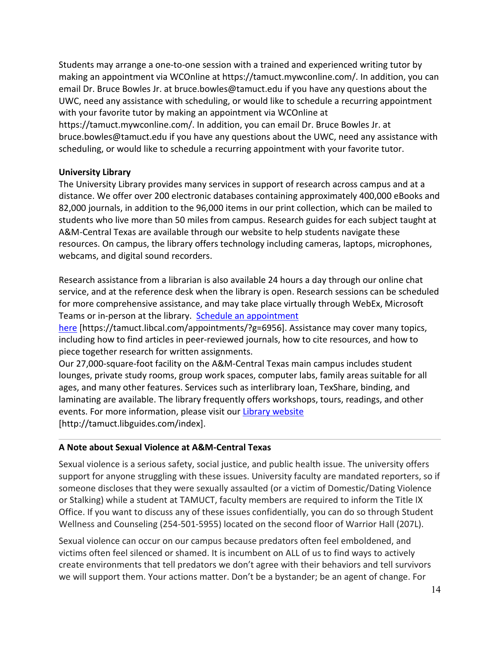Students may arrange a one-to-one session with a trained and experienced writing tutor by making an appointment via WCOnline at https://tamuct.mywconline.com/. In addition, you can email Dr. Bruce Bowles Jr. at bruce.bowles@tamuct.edu if you have any questions about the UWC, need any assistance with scheduling, or would like to schedule a recurring appointment with your favorite tutor by making an appointment via WCOnline at https://tamuct.mywconline.com/. In addition, you can email Dr. Bruce Bowles Jr. at bruce.bowles@tamuct.edu if you have any questions about the UWC, need any assistance with scheduling, or would like to schedule a recurring appointment with your favorite tutor.

## **University Library**

The University Library provides many services in support of research across campus and at a distance. We offer over 200 electronic databases containing approximately 400,000 eBooks and 82,000 journals, in addition to the 96,000 items in our print collection, which can be mailed to students who live more than 50 miles from campus. Research guides for each subject taught at A&M-Central Texas are available through our website to help students navigate these resources. On campus, the library offers technology including cameras, laptops, microphones, webcams, and digital sound recorders.

Research assistance from a librarian is also available 24 hours a day through our online chat service, and at the reference desk when the library is open. Research sessions can be scheduled for more comprehensive assistance, and may take place virtually through WebEx, Microsoft Teams or in-person at the library. Schedule an [appointment](https://nam04.safelinks.protection.outlook.com/?url=https%3A%2F%2Ftamuct.libcal.com%2Fappointments%2F%3Fg%3D6956&data=04%7C01%7Clisa.bunkowski%40tamuct.edu%7Cde2c07d9f5804f09518008d9ab7ba6ff%7C9eed4e3000f744849ff193ad8005acec%7C0%7C0%7C637729369835011558%7CUnknown%7CTWFpbGZsb3d8eyJWIjoiMC4wLjAwMDAiLCJQIjoiV2luMzIiLCJBTiI6Ik1haWwiLCJXVCI6Mn0%3D%7C3000&sdata=KhtjgRSAw9aq%2FoBsB6wyu8b7PSuGN5EGPypzr3Ty2No%3D&reserved=0)

[here](https://nam04.safelinks.protection.outlook.com/?url=https%3A%2F%2Ftamuct.libcal.com%2Fappointments%2F%3Fg%3D6956&data=04%7C01%7Clisa.bunkowski%40tamuct.edu%7Cde2c07d9f5804f09518008d9ab7ba6ff%7C9eed4e3000f744849ff193ad8005acec%7C0%7C0%7C637729369835011558%7CUnknown%7CTWFpbGZsb3d8eyJWIjoiMC4wLjAwMDAiLCJQIjoiV2luMzIiLCJBTiI6Ik1haWwiLCJXVCI6Mn0%3D%7C3000&sdata=KhtjgRSAw9aq%2FoBsB6wyu8b7PSuGN5EGPypzr3Ty2No%3D&reserved=0) [https://tamuct.libcal.com/appointments/?g=6956]. Assistance may cover many topics, including how to find articles in peer-reviewed journals, how to cite resources, and how to piece together research for written assignments.

Our 27,000-square-foot facility on the A&M-Central Texas main campus includes student lounges, private study rooms, group work spaces, computer labs, family areas suitable for all ages, and many other features. Services such as interlibrary loan, TexShare, binding, and laminating are available. The library frequently offers workshops, tours, readings, and other events. For more information, please visit our Library [website](https://nam04.safelinks.protection.outlook.com/?url=https%3A%2F%2Ftamuct.libguides.com%2Findex&data=04%7C01%7Clisa.bunkowski%40tamuct.edu%7C7d8489e8839a4915335f08d916f067f2%7C9eed4e3000f744849ff193ad8005acec%7C0%7C0%7C637566044056484222%7CUnknown%7CTWFpbGZsb3d8eyJWIjoiMC4wLjAwMDAiLCJQIjoiV2luMzIiLCJBTiI6Ik1haWwiLCJXVCI6Mn0%3D%7C1000&sdata=2R755V6rcIyedGrd4Os5rkgn1PvhHKU3kUV1vBKiHFo%3D&reserved=0) [http://tamuct.libguides.com/index].

## **A Note about Sexual Violence at A&M-Central Texas**

Sexual violence is a serious safety, social justice, and public health issue. The university offers support for anyone struggling with these issues. University faculty are mandated reporters, so if someone discloses that they were sexually assaulted (or a victim of Domestic/Dating Violence or Stalking) while a student at TAMUCT, faculty members are required to inform the Title IX Office. If you want to discuss any of these issues confidentially, you can do so through Student Wellness and Counseling (254-501-5955) located on the second floor of Warrior Hall (207L).

Sexual violence can occur on our campus because predators often feel emboldened, and victims often feel silenced or shamed. It is incumbent on ALL of us to find ways to actively create environments that tell predators we don't agree with their behaviors and tell survivors we will support them. Your actions matter. Don't be a bystander; be an agent of change. For